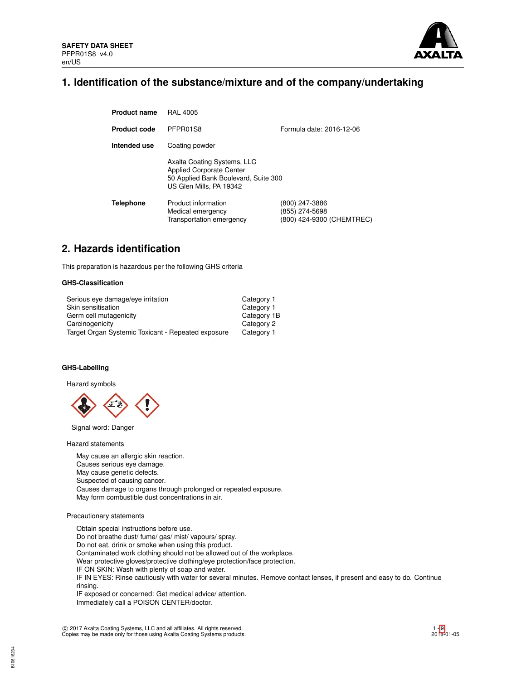

## **1. Identification of the substance/mixture and of the company/undertaking**

| <b>Product name</b> | <b>RAL 4005</b>                                                                                                                   |                                                               |
|---------------------|-----------------------------------------------------------------------------------------------------------------------------------|---------------------------------------------------------------|
| <b>Product code</b> | PFPR01S8                                                                                                                          | Formula date: 2016-12-06                                      |
| Intended use        | Coating powder                                                                                                                    |                                                               |
|                     | Axalta Coating Systems, LLC<br><b>Applied Corporate Center</b><br>50 Applied Bank Boulevard, Suite 300<br>US Glen Mills, PA 19342 |                                                               |
| <b>Telephone</b>    | Product information<br>Medical emergency<br>Transportation emergency                                                              | (800) 247-3886<br>(855) 274-5698<br>(800) 424-9300 (CHEMTREC) |

## **2. Hazards identification**

This preparation is hazardous per the following GHS criteria

## **GHS-Classification**

| Serious eye damage/eye irritation                  | Category 1  |
|----------------------------------------------------|-------------|
| Skin sensitisation                                 | Category 1  |
| Germ cell mutagenicity                             | Category 1B |
| Carcinogenicity                                    | Category 2  |
| Target Organ Systemic Toxicant - Repeated exposure | Category 1  |

## **GHS-Labelling**

Hazard symbols



Signal word: Danger

Hazard statements

May cause an allergic skin reaction. Causes serious eye damage. May cause genetic defects. Suspected of causing cancer. Causes damage to organs through prolonged or repeated exposure. May form combustible dust concentrations in air.

## Precautionary statements

Obtain special instructions before use. Do not breathe dust/ fume/ gas/ mist/ vapours/ spray. Do not eat, drink or smoke when using this product. Contaminated work clothing should not be allowed out of the workplace. Wear protective gloves/protective clothing/eye protection/face protection. IF ON SKIN: Wash with plenty of soap and water. IF IN EYES: Rinse cautiously with water for several minutes. Remove contact lenses, if present and easy to do. Continue rinsing. IF exposed or concerned: Get medical advice/ attention. Immediately call a POISON CENTER/doctor.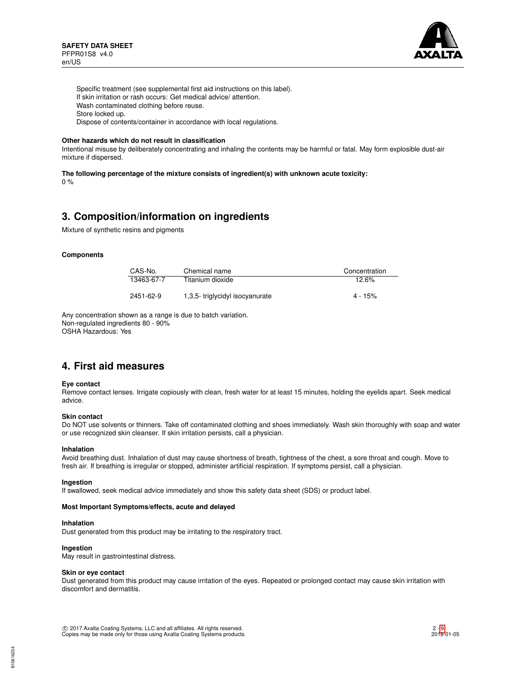

Specific treatment (see supplemental first aid instructions on this label). If skin irritation or rash occurs: Get medical advice/ attention. Wash contaminated clothing before reuse. Store locked up. Dispose of contents/container in accordance with local regulations.

#### **Other hazards which do not result in classification**

Intentional misuse by deliberately concentrating and inhaling the contents may be harmful or fatal. May form explosible dust-air mixture if dispersed.

**The following percentage of the mixture consists of ingredient(s) with unknown acute toxicity:** 0 %

## **3. Composition/information on ingredients**

Mixture of synthetic resins and pigments

#### **Components**

| CAS-No.    | Chemical name                   | Concentration |
|------------|---------------------------------|---------------|
| 13463-67-7 | Titanium dioxide                | 12.6%         |
| 2451-62-9  | 1,3,5- triglycidyl isocyanurate | $4 - 15%$     |

Any concentration shown as a range is due to batch variation. Non-regulated ingredients 80 - 90% OSHA Hazardous: Yes

## **4. First aid measures**

#### **Eye contact**

Remove contact lenses. Irrigate copiously with clean, fresh water for at least 15 minutes, holding the eyelids apart. Seek medical advice.

#### **Skin contact**

Do NOT use solvents or thinners. Take off contaminated clothing and shoes immediately. Wash skin thoroughly with soap and water or use recognized skin cleanser. If skin irritation persists, call a physician.

#### **Inhalation**

Avoid breathing dust. Inhalation of dust may cause shortness of breath, tightness of the chest, a sore throat and cough. Move to fresh air. If breathing is irregular or stopped, administer artificial respiration. If symptoms persist, call a physician.

#### **Ingestion**

If swallowed, seek medical advice immediately and show this safety data sheet (SDS) or product label.

#### **Most Important Symptoms/effects, acute and delayed**

#### **Inhalation**

Dust generated from this product may be irritating to the respiratory tract.

### **Ingestion**

May result in gastrointestinal distress.

#### **Skin or eye contact**

Dust generated from this product may cause irritation of the eyes. Repeated or prolonged contact may cause skin irritation with discomfort and dermatitis.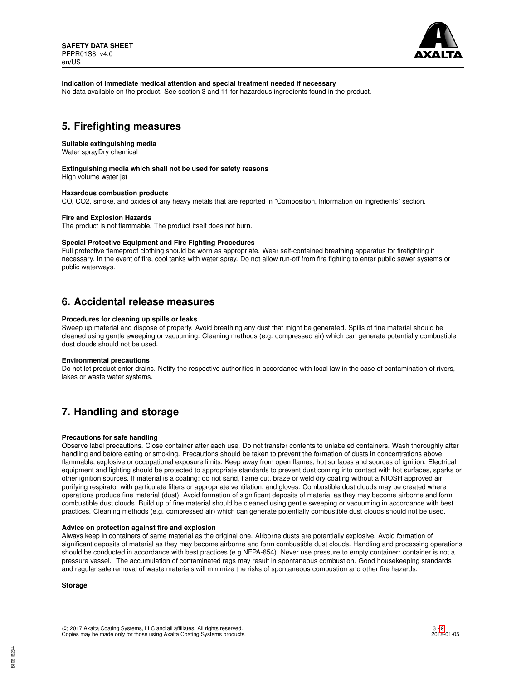

### **Indication of Immediate medical attention and special treatment needed if necessary**

No data available on the product. See section 3 and 11 for hazardous ingredients found in the product.

## **5. Firefighting measures**

#### **Suitable extinguishing media**

Water sprayDry chemical

#### **Extinguishing media which shall not be used for safety reasons**

High volume water jet

## **Hazardous combustion products**

CO, CO2, smoke, and oxides of any heavy metals that are reported in "Composition, Information on Ingredients" section.

#### **Fire and Explosion Hazards**

The product is not flammable. The product itself does not burn.

## **Special Protective Equipment and Fire Fighting Procedures**

Full protective flameproof clothing should be worn as appropriate. Wear self-contained breathing apparatus for firefighting if necessary. In the event of fire, cool tanks with water spray. Do not allow run-off from fire fighting to enter public sewer systems or public waterways.

## **6. Accidental release measures**

### **Procedures for cleaning up spills or leaks**

Sweep up material and dispose of properly. Avoid breathing any dust that might be generated. Spills of fine material should be cleaned using gentle sweeping or vacuuming. Cleaning methods (e.g. compressed air) which can generate potentially combustible dust clouds should not be used.

#### **Environmental precautions**

Do not let product enter drains. Notify the respective authorities in accordance with local law in the case of contamination of rivers, lakes or waste water systems.

## **7. Handling and storage**

#### **Precautions for safe handling**

Observe label precautions. Close container after each use. Do not transfer contents to unlabeled containers. Wash thoroughly after handling and before eating or smoking. Precautions should be taken to prevent the formation of dusts in concentrations above flammable, explosive or occupational exposure limits. Keep away from open flames, hot surfaces and sources of ignition. Electrical equipment and lighting should be protected to appropriate standards to prevent dust coming into contact with hot surfaces, sparks or other ignition sources. If material is a coating: do not sand, flame cut, braze or weld dry coating without a NIOSH approved air purifying respirator with particulate filters or appropriate ventilation, and gloves. Combustible dust clouds may be created where operations produce fine material (dust). Avoid formation of significant deposits of material as they may become airborne and form combustible dust clouds. Build up of fine material should be cleaned using gentle sweeping or vacuuming in accordance with best practices. Cleaning methods (e.g. compressed air) which can generate potentially combustible dust clouds should not be used.

#### **Advice on protection against fire and explosion**

Always keep in containers of same material as the original one. Airborne dusts are potentially explosive. Avoid formation of significant deposits of material as they may become airborne and form combustible dust clouds. Handling and processing operations should be conducted in accordance with best practices (e.g.NFPA-654). Never use pressure to empty container: container is not a pressure vessel. The accumulation of contaminated rags may result in spontaneous combustion. Good housekeeping standards and regular safe removal of waste materials will minimize the risks of spontaneous combustion and other fire hazards.

**Storage**

B10616234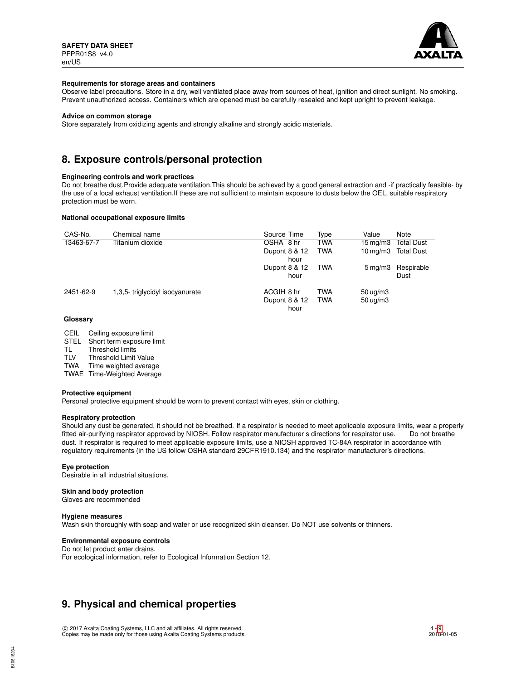

#### **Requirements for storage areas and containers**

Observe label precautions. Store in a dry, well ventilated place away from sources of heat, ignition and direct sunlight. No smoking. Prevent unauthorized access. Containers which are opened must be carefully resealed and kept upright to prevent leakage.

#### **Advice on common storage**

Store separately from oxidizing agents and strongly alkaline and strongly acidic materials.

## **8. Exposure controls/personal protection**

#### **Engineering controls and work practices**

Do not breathe dust.Provide adequate ventilation.This should be achieved by a good general extraction and -if practically feasible- by the use of a local exhaust ventilation.If these are not sufficient to maintain exposure to dusts below the OEL, suitable respiratory protection must be worn.

## **National occupational exposure limits**

| CAS-No.    | Chemical name                  | Source Time   | Type       | Value                 | Note              |
|------------|--------------------------------|---------------|------------|-----------------------|-------------------|
| 13463-67-7 | Titanium dioxide               | OSHA 8 hr     | <b>TWA</b> | $15 \,\mathrm{mq/m}$  | <b>Total Dust</b> |
|            |                                | Dupont 8 & 12 | <b>TWA</b> | $10 \,\mathrm{mq/m}$  | <b>Total Dust</b> |
|            |                                | hour          |            |                       |                   |
|            |                                | Dupont 8 & 12 | TWA        | $5 \,\mathrm{mq/m}$ 3 | Respirable        |
|            |                                | hour          |            |                       | Dust              |
| 2451-62-9  | 1.3.5-triglycidyl isocyanurate | ACGIH 8 hr    | <b>TWA</b> | $50 \text{ uq/m}$ 3   |                   |
|            |                                | Dupont 8 & 12 | <b>TWA</b> | $50 \mu q/m3$         |                   |
|            |                                | hour          |            |                       |                   |

#### **Glossary**

| CEIL |  | Ceiling exposure limit |  |
|------|--|------------------------|--|
|------|--|------------------------|--|

- STEL Short term exposure limit<br>TL Threshold limits
- TL Threshold limits<br>TLV Threshold Limit
- Threshold Limit Value

TWA Time weighted average

TWAE Time-Weighted Average

#### **Protective equipment**

Personal protective equipment should be worn to prevent contact with eyes, skin or clothing.

#### **Respiratory protection**

Should any dust be generated, it should not be breathed. If a respirator is needed to meet applicable exposure limits, wear a properly fitted air-purifying respirator approved by NIOSH. Follow respirator manufacturer s directions for respirator use. Do not breathe dust. If respirator is required to meet applicable exposure limits, use a NIOSH approved TC-84A respirator in accordance with regulatory requirements (in the US follow OSHA standard 29CFR1910.134) and the respirator manufacturer's directions.

## **Eye protection**

Desirable in all industrial situations.

### **Skin and body protection**

Gloves are recommended

#### **Hygiene measures**

Wash skin thoroughly with soap and water or use recognized skin cleanser. Do NOT use solvents or thinners.

#### **Environmental exposure controls**

Do not let product enter drains. For ecological information, refer to Ecological Information Section 12.

## **9. Physical and chemical properties**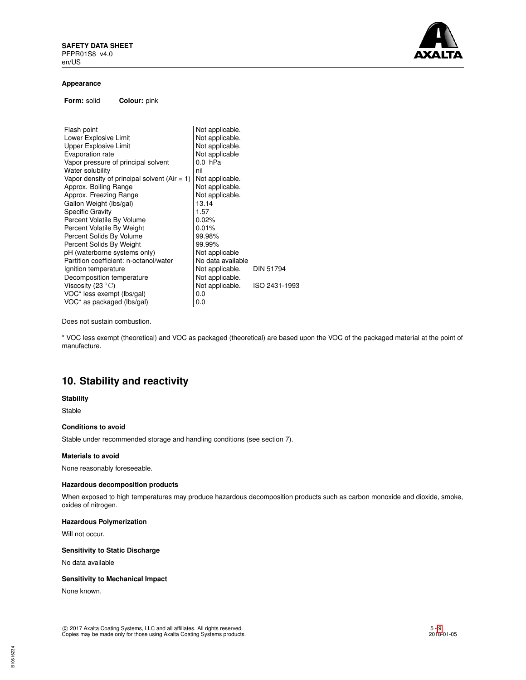

#### **Appearance**

**Form:** solid **Colour:** pink

| Flash point                                  | Not applicable.   |                  |
|----------------------------------------------|-------------------|------------------|
| Lower Explosive Limit                        | Not applicable.   |                  |
| <b>Upper Explosive Limit</b>                 | Not applicable.   |                  |
| Evaporation rate                             | Not applicable    |                  |
| Vapor pressure of principal solvent          | $0.0$ hPa         |                  |
| Water solubility                             | nil               |                  |
| Vapor density of principal solvent (Air = 1) | Not applicable.   |                  |
| Approx. Boiling Range                        | Not applicable.   |                  |
| Approx. Freezing Range                       | Not applicable.   |                  |
| Gallon Weight (lbs/gal)                      | 13.14             |                  |
| <b>Specific Gravity</b>                      | 1.57              |                  |
| Percent Volatile By Volume                   | 0.02%             |                  |
| Percent Volatile By Weight                   | 0.01%             |                  |
| Percent Solids By Volume                     | 99.98%            |                  |
| Percent Solids By Weight                     | 99.99%            |                  |
| pH (waterborne systems only)                 | Not applicable    |                  |
| Partition coefficient: n-octanol/water       | No data available |                  |
| Ignition temperature                         | Not applicable.   | <b>DIN 51794</b> |
| Decomposition temperature                    | Not applicable.   |                  |
| Viscosity (23 $\mathrm{^{\circ}C}$ )         | Not applicable.   | ISO 2431-1993    |
| VOC* less exempt (lbs/gal)                   | 0.0               |                  |
| VOC* as packaged (lbs/gal)                   | 0.0               |                  |

Does not sustain combustion.

\* VOC less exempt (theoretical) and VOC as packaged (theoretical) are based upon the VOC of the packaged material at the point of manufacture.

# **10. Stability and reactivity**

### **Stability**

Stable

## **Conditions to avoid**

Stable under recommended storage and handling conditions (see section 7).

## **Materials to avoid**

None reasonably foreseeable.

#### **Hazardous decomposition products**

When exposed to high temperatures may produce hazardous decomposition products such as carbon monoxide and dioxide, smoke, oxides of nitrogen.

## **Hazardous Polymerization**

Will not occur.

## **Sensitivity to Static Discharge**

No data available

## **Sensitivity to Mechanical Impact**

None known.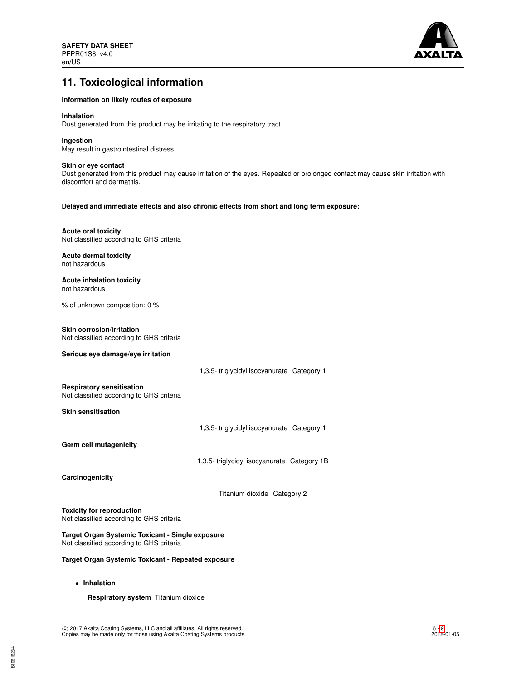

# **11. Toxicological information**

### **Information on likely routes of exposure**

#### **Inhalation**

Dust generated from this product may be irritating to the respiratory tract.

### **Ingestion**

May result in gastrointestinal distress.

## **Skin or eye contact**

Dust generated from this product may cause irritation of the eyes. Repeated or prolonged contact may cause skin irritation with discomfort and dermatitis.

#### **Delayed and immediate effects and also chronic effects from short and long term exposure:**

### **Acute oral toxicity**

Not classified according to GHS criteria

#### **Acute dermal toxicity** not hazardous

**Acute inhalation toxicity** not hazardous

% of unknown composition: 0 %

#### **Skin corrosion/irritation**

Not classified according to GHS criteria

## **Serious eye damage/eye irritation**

1,3,5- triglycidyl isocyanurate Category 1

#### **Respiratory sensitisation**

Not classified according to GHS criteria

**Skin sensitisation**

1,3,5- triglycidyl isocyanurate Category 1

**Germ cell mutagenicity**

1,3,5- triglycidyl isocyanurate Category 1B

**Carcinogenicity**

Titanium dioxide Category 2

**Toxicity for reproduction** Not classified according to GHS criteria

**Target Organ Systemic Toxicant - Single exposure** Not classified according to GHS criteria

**Target Organ Systemic Toxicant - Repeated exposure**

• **Inhalation**

**Respiratory system** Titanium dioxide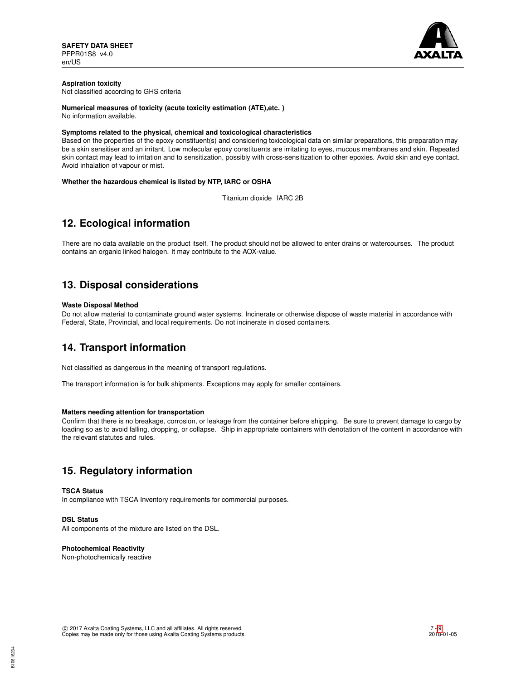

## **Aspiration toxicity**

Not classified according to GHS criteria

## **Numerical measures of toxicity (acute toxicity estimation (ATE),etc. )**

No information available.

## **Symptoms related to the physical, chemical and toxicological characteristics**

Based on the properties of the epoxy constituent(s) and considering toxicological data on similar preparations, this preparation may be a skin sensitiser and an irritant. Low molecular epoxy constituents are irritating to eyes, mucous membranes and skin. Repeated skin contact may lead to irritation and to sensitization, possibly with cross-sensitization to other epoxies. Avoid skin and eye contact. Avoid inhalation of vapour or mist.

## **Whether the hazardous chemical is listed by NTP, IARC or OSHA**

Titanium dioxide IARC 2B

# **12. Ecological information**

There are no data available on the product itself. The product should not be allowed to enter drains or watercourses. The product contains an organic linked halogen. It may contribute to the AOX-value.

# **13. Disposal considerations**

## **Waste Disposal Method**

Do not allow material to contaminate ground water systems. Incinerate or otherwise dispose of waste material in accordance with Federal, State, Provincial, and local requirements. Do not incinerate in closed containers.

# **14. Transport information**

Not classified as dangerous in the meaning of transport regulations.

The transport information is for bulk shipments. Exceptions may apply for smaller containers.

## **Matters needing attention for transportation**

Confirm that there is no breakage, corrosion, or leakage from the container before shipping. Be sure to prevent damage to cargo by loading so as to avoid falling, dropping, or collapse. Ship in appropriate containers with denotation of the content in accordance with the relevant statutes and rules.

# **15. Regulatory information**

## **TSCA Status**

In compliance with TSCA Inventory requirements for commercial purposes.

## **DSL Status**

All components of the mixture are listed on the DSL.

#### **Photochemical Reactivity**

Non-photochemically reactive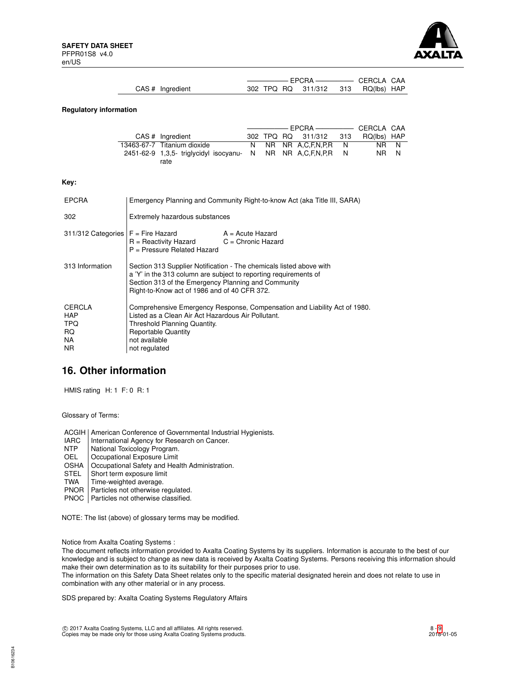

| CAS # Ingredient | 302 TPQ RQ 311/312 313 RQ(lbs) HAP |  |
|------------------|------------------------------------|--|

#### **Regulatory information**

| CAS # Ingredient                                             |  | 302 TPQ RQ 311/312 313 | RQ(lbs) HAP |  |
|--------------------------------------------------------------|--|------------------------|-------------|--|
| 13463-67-7 Titanium dioxide                                  |  | N NR NR A.C.F.N.P.R N  | NR N        |  |
| 2451-62-9 1,3,5- triglycidyl isocyanu- N NR NR A,C,F,N,P,R N |  |                        | NR N        |  |
| rate                                                         |  |                        |             |  |

#### **Key:**

| <b>EPCRA</b>                                            | Emergency Planning and Community Right-to-know Act (aka Title III, SARA)                                                                                                                                                                       |                  |  |
|---------------------------------------------------------|------------------------------------------------------------------------------------------------------------------------------------------------------------------------------------------------------------------------------------------------|------------------|--|
| 302                                                     | Extremely hazardous substances                                                                                                                                                                                                                 |                  |  |
| $311/312$ Categories $F =$ Fire Hazard                  | $R =$ Reactivity Hazard $C =$ Chronic Hazard<br>$P =$ Pressure Related Hazard                                                                                                                                                                  | A = Acute Hazard |  |
| 313 Information                                         | Section 313 Supplier Notification - The chemicals listed above with<br>a 'Y' in the 313 column are subject to reporting requirements of<br>Section 313 of the Emergency Planning and Community<br>Right-to-Know act of 1986 and of 40 CFR 372. |                  |  |
| <b>CERCLA</b><br>HAP<br><b>TPQ</b><br>RQ.<br>NA.<br>NR. | Comprehensive Emergency Response, Compensation and Liability Act of 1980.<br>Listed as a Clean Air Act Hazardous Air Pollutant.<br>Threshold Planning Quantity.<br><b>Reportable Quantity</b><br>not available<br>not regulated                |                  |  |

## **16. Other information**

HMIS rating H: 1 F: 0 R: 1

Glossary of Terms:

- ACGIH | American Conference of Governmental Industrial Hygienists.<br>
IARC | International Agency for Research on Cancer.
- IARC | International Agency for Research on Cancer.<br>NTP | National Toxicology Program.
- 
- NTP National Toxicology Program.<br>OEL Occupational Exposure Limit Occupational Exposure Limit
- OSHA | Occupational Safety and Health Administration.<br>STEL | Short term exposure limit
- Short term exposure limit
- TWA | Time-weighted average.
- PNOR | Particles not otherwise regulated.
- PNOC | Particles not otherwise classified.

NOTE: The list (above) of glossary terms may be modified.

Notice from Axalta Coating Systems :

The document reflects information provided to Axalta Coating Systems by its suppliers. Information is accurate to the best of our knowledge and is subject to change as new data is received by Axalta Coating Systems. Persons receiving this information should make their own determination as to its suitability for their purposes prior to use.

The information on this Safety Data Sheet relates only to the specific material designated herein and does not relate to use in combination with any other material or in any process.

SDS prepared by: Axalta Coating Systems Regulatory Affairs